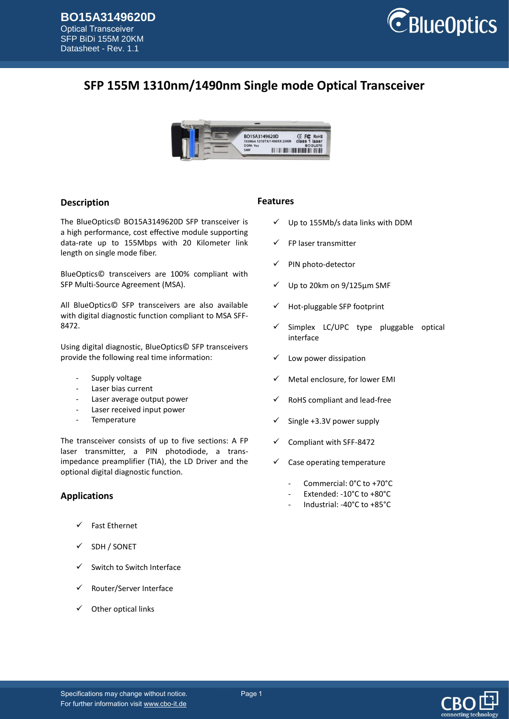

# **SFP 155M 1310nm/1490nm Single mode Optical Transceiver**



#### **Description**

The BlueOptics© BO15A3149620D SFP transceiver is a high performance, cost effective module supporting data-rate up to 155Mbps with 20 Kilometer link length on single mode fiber.

BlueOptics© transceivers are 100% compliant with SFP Multi-Source Agreement (MSA).

All BlueOptics© SFP transceivers are also available with digital diagnostic function compliant to MSA SFF-8472.

Using digital diagnostic, BlueOptics© SFP transceivers provide the following real time information:

- Supply voltage
- Laser bias current
- Laser average output power
- Laser received input power
- **Temperature**

The transceiver consists of up to five sections: A FP laser transmitter, a PIN photodiode, a transimpedance preamplifier (TIA), the LD Driver and the optional digital diagnostic function.

#### **Applications**

- $\checkmark$  Fast Ethernet
- SDH / SONET
- Switch to Switch Interface
- Router/Server Interface
- Other optical links

#### **Features**

- $\checkmark$  Up to 155Mb/s data links with DDM
- FP laser transmitter
- PIN photo-detector
- Up to 20km on 9/125µm SMF
- Hot-pluggable SFP footprint
- $\checkmark$  Simplex LC/UPC type pluggable optical interface
- Low power dissipation
- Metal enclosure, for lower EMI
- RoHS compliant and lead-free
- Single +3.3V power supply
- Compliant with SFF-8472
- Case operating temperature
	- Commercial: 0°C to +70°C
	- Extended: -10°C to +80°C
	- Industrial: -40°C to +85°C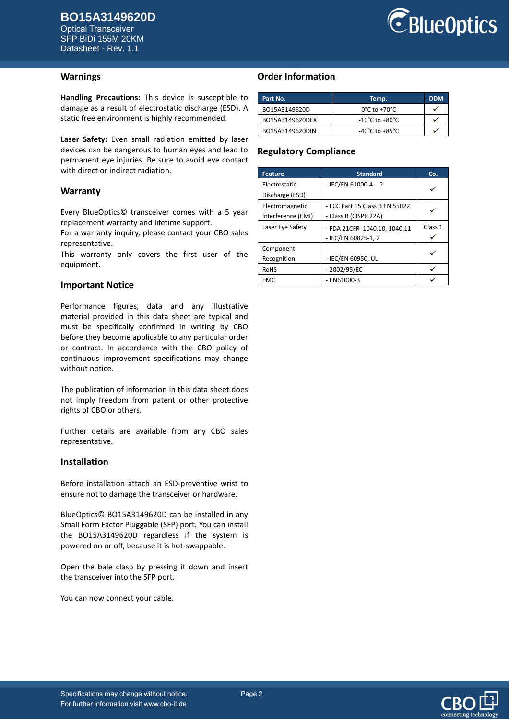Optical Transceiver SFP BiDi 155M 20KM Datasheet - Rev. 1.1



#### **Warnings**

**Handling Precautions:** This device is susceptible to damage as a result of electrostatic discharge (ESD). A static free environment is highly recommended.

**Laser Safety:** Even small radiation emitted by laser devices can be dangerous to human eyes and lead to permanent eye injuries. Be sure to avoid eye contact with direct or indirect radiation.

#### **Warranty**

Every BlueOptics© transceiver comes with a 5 year replacement warranty and lifetime support.

For a warranty inquiry, please contact your CBO sales representative.

This warranty only covers the first user of the equipment.

#### **Important Notice**

Performance figures, data and any illustrative material provided in this data sheet are typical and must be specifically confirmed in writing by CBO before they become applicable to any particular order or contract. In accordance with the CBO policy of continuous improvement specifications may change without notice.

The publication of information in this data sheet does not imply freedom from patent or other protective rights of CBO or others.

Further details are available from any CBO sales representative.

#### **Installation**

Before installation attach an ESD-preventive wrist to ensure not to damage the transceiver or hardware.

BlueOptics© BO15A3149620D can be installed in any Small Form Factor Pluggable (SFP) port. You can install the BO15A3149620D regardless if the system is powered on or off, because it is hot-swappable.

Open the bale clasp by pressing it down and insert the transceiver into the SFP port.

You can now connect your cable.

### **Order Information**

| Part No.        | Temp.                              | <b>DDM</b> |
|-----------------|------------------------------------|------------|
| BO15A3149620D   | $0^{\circ}$ C to +70 $^{\circ}$ C  |            |
| BO15A3149620DEX | $-10^{\circ}$ C to $+80^{\circ}$ C |            |
| BO15A3149620DIN | $-40^{\circ}$ C to $+85^{\circ}$ C |            |

### **Regulatory Compliance**

| <b>Feature</b>     | <b>Standard</b>                | Co.     |
|--------------------|--------------------------------|---------|
| Electrostatic      | - IEC/EN 61000-4- 2            |         |
| Discharge (ESD)    |                                |         |
| Electromagnetic    | - FCC Part 15 Class B EN 55022 |         |
| Interference (EMI) | - Class B (CISPR 22A)          |         |
| Laser Eye Safety   | - FDA 21CFR 1040.10. 1040.11   | Class 1 |
|                    | - IEC/EN 60825-1, 2            |         |
| Component          |                                |         |
| Recognition        | - IEC/EN 60950, UL             |         |
| <b>RoHS</b>        | $-2002/95/EC$                  |         |
| <b>EMC</b>         | $-$ EN61000-3                  |         |

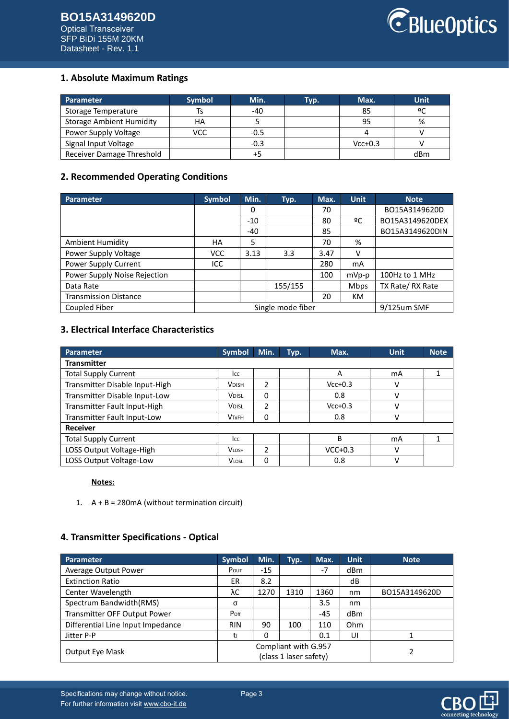

### **1. Absolute Maximum Ratings**

| Parameter                       | <b>Symbol</b> | Min.   | Typ. | Max.      | <b>Unit</b> |
|---------------------------------|---------------|--------|------|-----------|-------------|
| Storage Temperature             |               | $-40$  |      | 85        | ºC          |
| <b>Storage Ambient Humidity</b> | НA            |        |      | 95        | %           |
| Power Supply Voltage            | VCC           | $-0.5$ |      |           |             |
| Signal Input Voltage            |               | $-0.3$ |      | $Vcc+0.3$ |             |
| Receiver Damage Threshold       |               | +5     |      |           | dBm         |

### **2. Recommended Operating Conditions**

| <b>Parameter</b>             | Symbol     | Min.  | Typ.              | Max. | <b>Unit</b> | <b>Note</b>     |
|------------------------------|------------|-------|-------------------|------|-------------|-----------------|
|                              |            | 0     |                   | 70   |             | BO15A3149620D   |
|                              |            | $-10$ |                   | 80   | ºC          | BO15A3149620DEX |
|                              |            | $-40$ |                   | 85   |             | BO15A3149620DIN |
| <b>Ambient Humidity</b>      | HA         | 5     |                   | 70   | %           |                 |
| Power Supply Voltage         | <b>VCC</b> | 3.13  | 3.3               | 3.47 | v           |                 |
| Power Supply Current         | ICC        |       |                   | 280  | mA          |                 |
| Power Supply Noise Rejection |            |       |                   | 100  | $mVp-p$     | 100Hz to 1 MHz  |
| Data Rate                    |            |       | 155/155           |      | <b>Mbps</b> | TX Rate/RX Rate |
| <b>Transmission Distance</b> |            |       |                   | 20   | <b>KM</b>   |                 |
| Coupled Fiber                |            |       | Single mode fiber |      |             | 9/125um SMF     |

# **3. Electrical Interface Characteristics**

| Parameter                      | <b>Symbol</b> | Min.           | Typ. | Max.      | <b>Unit</b> | <b>Note</b> |
|--------------------------------|---------------|----------------|------|-----------|-------------|-------------|
| <b>Transmitter</b>             |               |                |      |           |             |             |
| <b>Total Supply Current</b>    | Icc           |                |      | A         | mA          |             |
| Transmitter Disable Input-High | <b>VDISH</b>  | 2              |      | $Vcc+0.3$ | ٧           |             |
| Transmitter Disable Input-Low  | <b>VDISL</b>  | 0              |      | 0.8       | v           |             |
| Transmitter Fault Input-High   | <b>VDISL</b>  | $\overline{2}$ |      | $Vcc+0.3$ | ν           |             |
| Transmitter Fault Input-Low    | <b>VTxFH</b>  | 0              |      | 0.8       | v           |             |
| <b>Receiver</b>                |               |                |      |           |             |             |
| <b>Total Supply Current</b>    | Icc           |                |      | B         | mA          |             |
| LOSS Output Voltage-High       | <b>VLOSH</b>  | $\mathfrak{p}$ |      | $VCC+0.3$ | ν           |             |
| LOSS Output Voltage-Low        | <b>VLOSL</b>  | 0              |      | 0.8       | v           |             |

### **Notes:**

1.  $A + B = 280 \text{mA}$  (without termination circuit)

### **4. Transmitter Specifications - Optical**

| <b>Parameter</b>                    | <b>Symbol</b>                                  | Min.     | Typ. | Max.  | <b>Unit</b> | <b>Note</b>   |
|-------------------------------------|------------------------------------------------|----------|------|-------|-------------|---------------|
| Average Output Power                | POUT                                           | -15      |      | $-7$  | dBm         |               |
| <b>Extinction Ratio</b>             | ER                                             | 8.2      |      |       | dB          |               |
| Center Wavelength                   | λС                                             | 1270     | 1310 | 1360  | nm          | BO15A3149620D |
| Spectrum Bandwidth(RMS)             | σ                                              |          |      | 3.5   | nm          |               |
| <b>Transmitter OFF Output Power</b> | Poff                                           |          |      | $-45$ | dBm         |               |
| Differential Line Input Impedance   | <b>RIN</b>                                     | 90       | 100  | 110   | <b>Ohm</b>  |               |
| Jitter P-P                          | tı                                             | $\Omega$ |      | 0.1   | UI          |               |
| <b>Output Eye Mask</b>              | Compliant with G.957<br>(class 1 laser safety) |          |      |       |             |               |

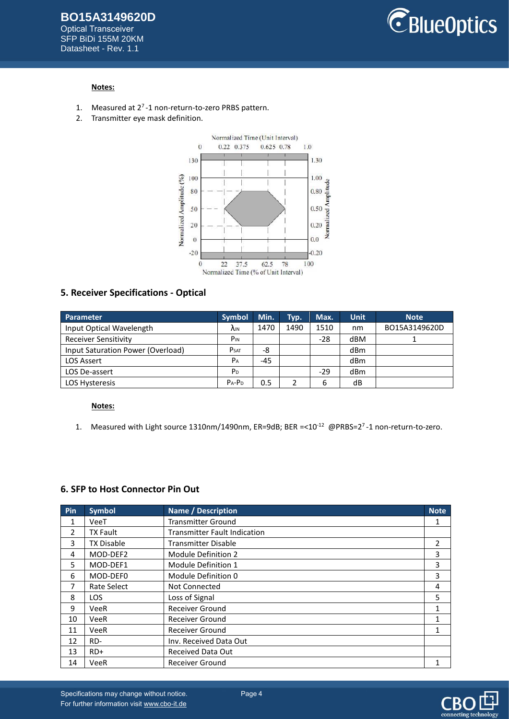

### **Notes:**

- 1. Measured at  $2^7$ -1 non-return-to-zero PRBS pattern.
- 2. Transmitter eye mask definition.



#### **5. Receiver Specifications - Optical**

| Parameter                         | <b>Symbol</b>   | Min.  | Typ. | Max.  | <b>Unit</b> | <b>Note</b>   |
|-----------------------------------|-----------------|-------|------|-------|-------------|---------------|
| Input Optical Wavelength          | ۸ın             | 1470  | 1490 | 1510  | nm          | BO15A3149620D |
| <b>Receiver Sensitivity</b>       | P <sub>IN</sub> |       |      | $-28$ | dBM         |               |
| Input Saturation Power (Overload) | <b>PSAT</b>     | -8    |      |       | dBm         |               |
| <b>LOS Assert</b>                 | P <sub>A</sub>  | $-45$ |      |       | dBm         |               |
| LOS De-assert                     | P <sub>D</sub>  |       |      | $-29$ | dBm         |               |
| <b>LOS Hysteresis</b>             | $P_A - P_D$     | 0.5   |      | 6     | dB          |               |

### **Notes:**

1. Measured with Light source 1310nm/1490nm, ER=9dB; BER =<10<sup>-12</sup> @PRBS=2<sup>7</sup>-1 non-return-to-zero.

#### **6. SFP to Host Connector Pin Out**

| Pin | <b>Symbol</b>     | <b>Name / Description</b>           | <b>Note</b> |
|-----|-------------------|-------------------------------------|-------------|
| 1   | VeeT              | <b>Transmitter Ground</b>           |             |
| 2   | <b>TX Fault</b>   | <b>Transmitter Fault Indication</b> |             |
| 3   | <b>TX Disable</b> | <b>Transmitter Disable</b>          | 2           |
| 4   | MOD-DEF2          | Module Definition 2                 | 3           |
| 5   | MOD-DEF1          | Module Definition 1                 | 3           |
| 6   | MOD-DEF0          | Module Definition 0                 | 3           |
| 7   | Rate Select       | Not Connected                       | 4           |
| 8   | LOS.              | Loss of Signal                      | 5           |
| 9   | VeeR              | <b>Receiver Ground</b>              |             |
| 10  | VeeR              | <b>Receiver Ground</b>              |             |
| 11  | VeeR              | <b>Receiver Ground</b>              |             |
| 12  | RD-               | Inv. Received Data Out              |             |
| 13  | $RD+$             | Received Data Out                   |             |
| 14  | VeeR              | <b>Receiver Ground</b>              |             |

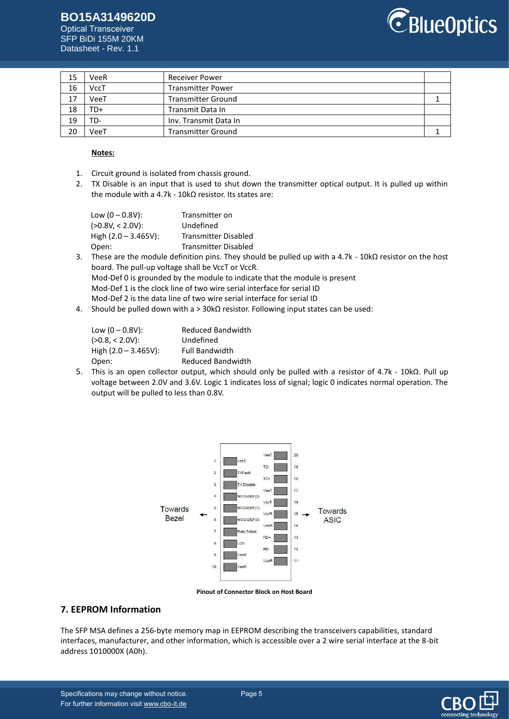# **BO15A3149620D**

Optical Transceiver SFP BiDi 155M 20KM Datasheet - Rev. 1.1



| 15 | VeeR | <b>Receiver Power</b>     |  |
|----|------|---------------------------|--|
| 16 | VccT | <b>Transmitter Power</b>  |  |
| 17 | VeeT | <b>Transmitter Ground</b> |  |
| 18 | TD+  | Transmit Data In          |  |
| 19 | TD-  | Inv. Transmit Data In     |  |
| 20 | VeeT | <b>Transmitter Ground</b> |  |

#### **Notes:**

- 1. Circuit ground is isolated from chassis ground.
- 2. TX Disable is an input that is used to shut down the transmitter optical output. It is pulled up within the module with a 4.7k - 10kΩ resistor. Its states are:

| Low $(0 - 0.8V)$ :      | Transmitter on              |
|-------------------------|-----------------------------|
| $(>0.8$ V, < 2.0V):     | Undefined                   |
| High $(2.0 - 3.465V)$ : | <b>Transmitter Disabled</b> |
| Open:                   | <b>Transmitter Disabled</b> |

- 3. These are the module definition pins. They should be pulled up with a 4.7k 10kΩ resistor on the host board. The pull-up voltage shall be VccT or VccR. Mod-Def 0 is grounded by the module to indicate that the module is present Mod-Def 1 is the clock line of two wire serial interface for serial ID Mod-Def 2 is the data line of two wire serial interface for serial ID
- 4. Should be pulled down with a > 30kΩ resistor. Following input states can be used:

| Low $(0 - 0.8V)$ :      | <b>Reduced Bandwidth</b> |
|-------------------------|--------------------------|
| $(>0.8, < 2.0V)$ :      | Undefined                |
| High $(2.0 - 3.465V)$ : | <b>Full Bandwidth</b>    |
| Open:                   | <b>Reduced Bandwidth</b> |

5. This is an open collector output, which should only be pulled with a resistor of 4.7k - 10kΩ. Pull up voltage between 2.0V and 3.6V. Logic 1 indicates loss of signal; logic 0 indicates normal operation. The output will be pulled to less than 0.8V.





#### **7. EEPROM Information**

The SFP MSA defines a 256-byte memory map in EEPROM describing the transceivers capabilities, standard interfaces, manufacturer, and other information, which is accessible over a 2 wire serial interface at the 8-bit address 1010000X (A0h).

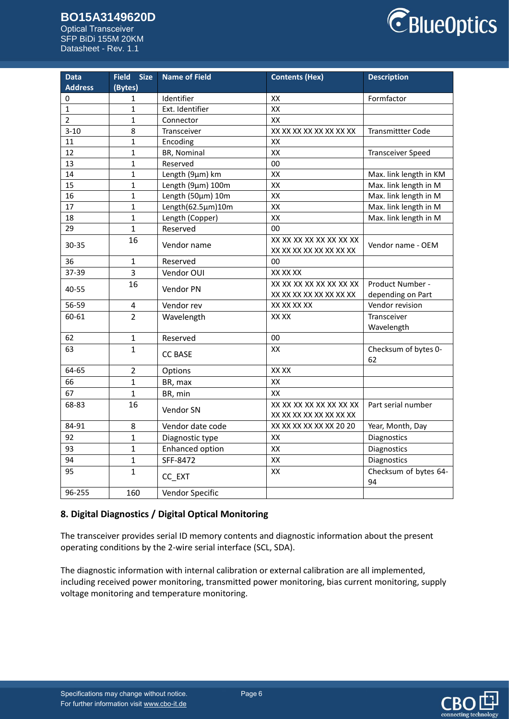# **BO15A3149620D**

Optical Transceiver SFP BiDi 155M 20KM Datasheet - Rev. 1.1



| <b>Data</b>    | <b>Field</b><br><b>Size</b> | <b>Name of Field</b> | <b>Contents (Hex)</b>   | <b>Description</b>       |
|----------------|-----------------------------|----------------------|-------------------------|--------------------------|
| <b>Address</b> | (Bytes)                     |                      |                         |                          |
| 0              | 1                           | Identifier           | XX                      | Formfactor               |
| $\mathbf{1}$   | $\mathbf{1}$                | Ext. Identifier      | XX                      |                          |
| $\overline{2}$ | $\mathbf{1}$                | Connector            | XX                      |                          |
| $3 - 10$       | 8                           | Transceiver          | XX XX XX XX XX XX XX XX | <b>Transmittter Code</b> |
| 11             | $\mathbf{1}$                | Encoding             | XX                      |                          |
| 12             | $\mathbf{1}$                | BR, Nominal          | XX                      | <b>Transceiver Speed</b> |
| 13             | $\mathbf{1}$                | Reserved             | 00                      |                          |
| 14             | $\mathbf{1}$                | Length (9µm) km      | XX                      | Max. link length in KM   |
| 15             | $\mathbf{1}$                | Length (9µm) 100m    | XX                      | Max. link length in M    |
| 16             | $\mathbf{1}$                | Length (50µm) 10m    | XX                      | Max. link length in M    |
| 17             | $\mathbf{1}$                | Length(62.5µm)10m    | XX                      | Max. link length in M    |
| 18             | $\mathbf{1}$                | Length (Copper)      | XX                      | Max. link length in M    |
| 29             | $\mathbf{1}$                | Reserved             | 00                      |                          |
| 30-35          | 16                          | Vendor name          | XX XX XX XX XX XX XX XX | Vendor name - OEM        |
|                |                             |                      | XX XX XX XX XX XX XX XX |                          |
| 36             | $\mathbf{1}$                | Reserved             | 00                      |                          |
| 37-39          | 3                           | Vendor OUI           | XX XX XX                |                          |
| 40-55          | 16                          | Vendor PN            | XX XX XX XX XX XX XX XX | Product Number -         |
|                |                             |                      | XX XX XX XX XX XX XX XX | depending on Part        |
| 56-59          | $\overline{4}$              | Vendor rev           | XX XX XX XX             | Vendor revision          |
| 60-61          | $\overline{2}$              | Wavelength           | XX XX                   | Transceiver              |
|                |                             |                      |                         | Wavelength               |
| 62             | $\mathbf{1}$                | Reserved             | 00                      |                          |
| 63             | $\mathbf{1}$                | <b>CC BASE</b>       | XX                      | Checksum of bytes 0-     |
|                |                             |                      |                         | 62                       |
| 64-65          | $\overline{2}$              | Options              | XX XX                   |                          |
| 66             | $\mathbf{1}$                | BR, max              | XX                      |                          |
| 67             | $\overline{1}$              | BR, min              | XX                      |                          |
| 68-83          | 16                          | Vendor SN            | XX XX XX XX XX XX XX XX | Part serial number       |
|                |                             |                      | XX XX XX XX XX XX XX XX |                          |
| 84-91          | 8                           | Vendor date code     | XX XX XX XX XX XX 20 20 | Year, Month, Day         |
| 92             | $\mathbf{1}$                | Diagnostic type      | XX                      | Diagnostics              |
| 93             | $\mathbf{1}$                | Enhanced option      | XX                      | Diagnostics              |
| 94             | $\mathbf{1}$                | SFF-8472             | XX                      | Diagnostics              |
| 95             | 1                           |                      | XX                      | Checksum of bytes 64-    |
|                |                             | CC_EXT               |                         | 94                       |
| 96-255         | 160                         | Vendor Specific      |                         |                          |

# **8. Digital Diagnostics / Digital Optical Monitoring**

The transceiver provides serial ID memory contents and diagnostic information about the present operating conditions by the 2-wire serial interface (SCL, SDA).

The diagnostic information with internal calibration or external calibration are all implemented, including received power monitoring, transmitted power monitoring, bias current monitoring, supply voltage monitoring and temperature monitoring.